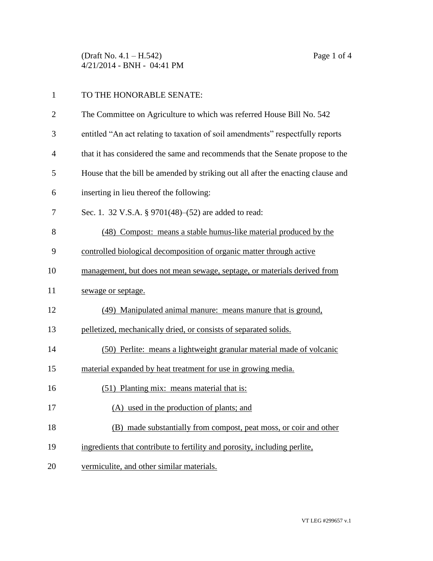(Draft No. 4.1 – H.542) Page 1 of 4 4/21/2014 - BNH - 04:41 PM

| TO THE HONORABLE SENATE:                                              |
|-----------------------------------------------------------------------|
| The Committee on Agriculture to which was referred House Bill No. 542 |

- entitled "An act relating to taxation of soil amendments" respectfully reports
- that it has considered the same and recommends that the Senate propose to the
- House that the bill be amended by striking out all after the enacting clause and
- inserting in lieu thereof the following:
- Sec. 1. 32 V.S.A. § 9701(48)–(52) are added to read:
- (48) Compost: means a stable humus-like material produced by the
- controlled biological decomposition of organic matter through active
- management, but does not mean sewage, septage, or materials derived from
- 11 sewage or septage.
- (49) Manipulated animal manure: means manure that is ground,
- pelletized, mechanically dried, or consists of separated solids.
- (50) Perlite: means a lightweight granular material made of volcanic
- material expanded by heat treatment for use in growing media.
- (51) Planting mix: means material that is:
- (A) used in the production of plants; and
- (B) made substantially from compost, peat moss, or coir and other
- ingredients that contribute to fertility and porosity, including perlite,
- vermiculite, and other similar materials.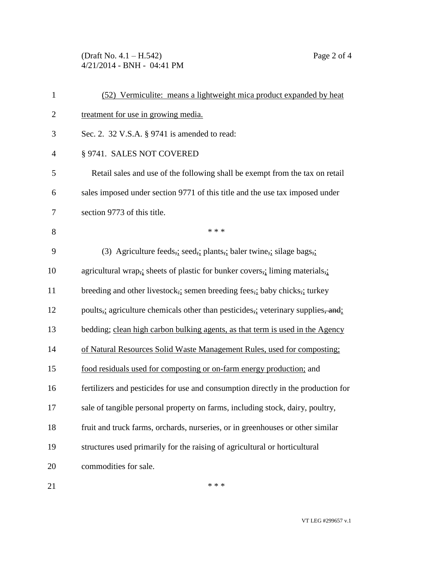(Draft No. 4.1 – H.542) Page 2 of 4 4/21/2014 - BNH - 04:41 PM

| $\mathbf{1}$   | (52) Vermiculite: means a lightweight mica product expanded by heat               |
|----------------|-----------------------------------------------------------------------------------|
| $\overline{2}$ | treatment for use in growing media.                                               |
| 3              | Sec. 2. 32 V.S.A. § 9741 is amended to read:                                      |
| $\overline{4}$ | § 9741. SALES NOT COVERED                                                         |
| 5              | Retail sales and use of the following shall be exempt from the tax on retail      |
| 6              | sales imposed under section 9771 of this title and the use tax imposed under      |
| 7              | section 9773 of this title.                                                       |
| 8              | * * *                                                                             |
| 9              | (3) Agriculture feeds, seed, plants, baler twine, silage bags,                    |
| 10             | agricultural wrap, sheets of plastic for bunker covers, liming materials,         |
| 11             | breeding and other livestock, semen breeding fees, baby chicks, turkey            |
| 12             | poults, agriculture chemicals other than pesticides, veterinary supplies, and     |
| 13             | bedding; clean high carbon bulking agents, as that term is used in the Agency     |
| 14             | of Natural Resources Solid Waste Management Rules, used for composting;           |
| 15             | food residuals used for composting or on-farm energy production; and              |
| 16             | fertilizers and pesticides for use and consumption directly in the production for |
| 17             | sale of tangible personal property on farms, including stock, dairy, poultry,     |
| 18             | fruit and truck farms, orchards, nurseries, or in greenhouses or other similar    |
| 19             | structures used primarily for the raising of agricultural or horticultural        |
| 20             | commodities for sale.                                                             |
|                |                                                                                   |

21  $***$ 

VT LEG #299657 v.1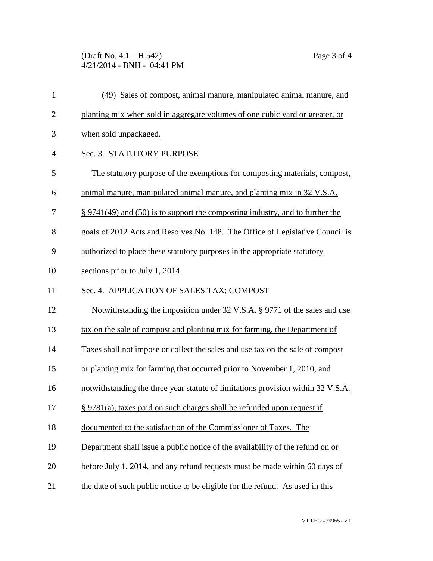(Draft No. 4.1 – H.542) Page 3 of 4 4/21/2014 - BNH - 04:41 PM

| $\mathbf{1}$   | (49) Sales of compost, animal manure, manipulated animal manure, and             |
|----------------|----------------------------------------------------------------------------------|
| $\overline{2}$ | planting mix when sold in aggregate volumes of one cubic yard or greater, or     |
| 3              | when sold unpackaged.                                                            |
| $\overline{4}$ | Sec. 3. STATUTORY PURPOSE                                                        |
| 5              | The statutory purpose of the exemptions for composting materials, compost,       |
| 6              | animal manure, manipulated animal manure, and planting mix in 32 V.S.A.          |
| 7              | $\S 9741(49)$ and (50) is to support the composting industry, and to further the |
| 8              | goals of 2012 Acts and Resolves No. 148. The Office of Legislative Council is    |
| 9              | authorized to place these statutory purposes in the appropriate statutory        |
| 10             | sections prior to July 1, 2014.                                                  |
| 11             | Sec. 4. APPLICATION OF SALES TAX; COMPOST                                        |
| 12             | Notwithstanding the imposition under 32 V.S.A. § 9771 of the sales and use       |
| 13             | tax on the sale of compost and planting mix for farming, the Department of       |
| 14             | Taxes shall not impose or collect the sales and use tax on the sale of compost   |
| 15             | or planting mix for farming that occurred prior to November 1, 2010, and         |
| 16             | notwithstanding the three year statute of limitations provision within 32 V.S.A. |
| 17             | § 9781(a), taxes paid on such charges shall be refunded upon request if          |
| 18             | documented to the satisfaction of the Commissioner of Taxes. The                 |
| 19             | Department shall issue a public notice of the availability of the refund on or   |
| 20             | before July 1, 2014, and any refund requests must be made within 60 days of      |
| 21             | the date of such public notice to be eligible for the refund. As used in this    |